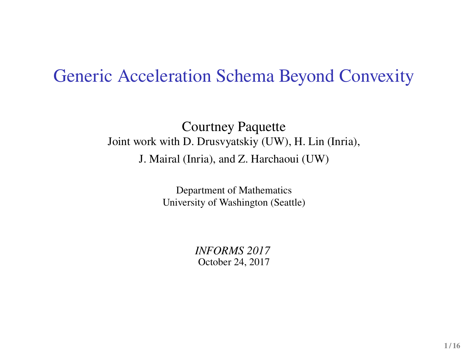## Generic Acceleration Schema Beyond Convexity

#### Courtney Paquette Joint work with D. Drusvyatskiy (UW), H. Lin (Inria), J. Mairal (Inria), and Z. Harchaoui (UW)

Department of Mathematics University of Washington (Seattle)

> *INFORMS 2017* October 24, 2017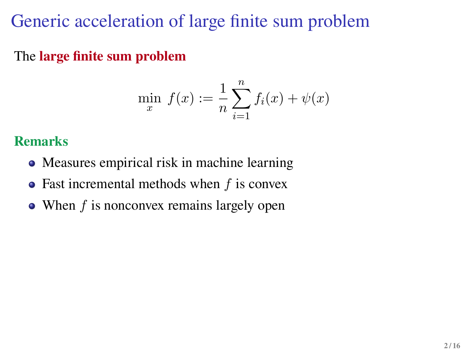# Generic acceleration of large finite sum problem

The **large finite sum problem**

$$
\min_{x} f(x) := \frac{1}{n} \sum_{i=1}^{n} f_i(x) + \psi(x)
$$

### **Remarks**

- Measures empirical risk in machine learning
- $\bullet$  Fast incremental methods when f is convex
- When f is nonconvex remains largely open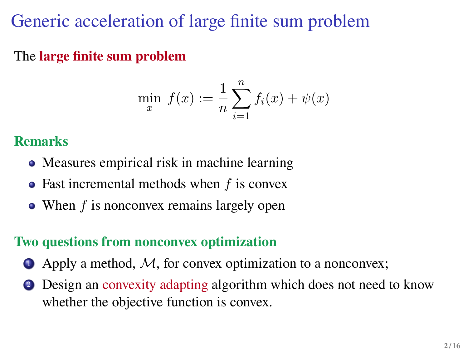# Generic acceleration of large finite sum problem

The **large finite sum problem**

$$
\min_{x} f(x) := \frac{1}{n} \sum_{i=1}^{n} f_i(x) + \psi(x)
$$

### **Remarks**

- Measures empirical risk in machine learning
- $\bullet$  Fast incremental methods when f is convex
- When f is nonconvex remains largely open

### **Two questions from nonconvex optimization**

- $\bullet$  Apply a method, M, for convex optimization to a nonconvex;
- <sup>2</sup> Design an convexity adapting algorithm which does not need to know whether the objective function is convex.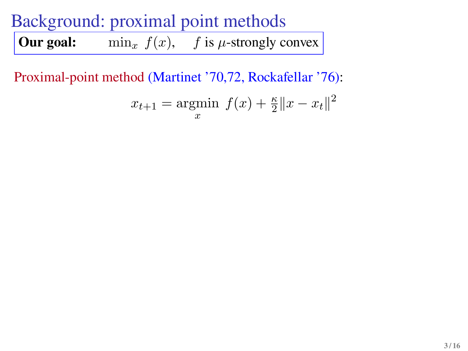**Our goal:** min<sub>x</sub>  $f(x)$ , f is  $\mu$ -strongly convex

Proximal-point method (Martinet '70,72, Rockafellar '76):

$$
x_{t+1} = \underset{x}{\text{argmin}} \ f(x) + \frac{\kappa}{2} \|x - x_t\|^2
$$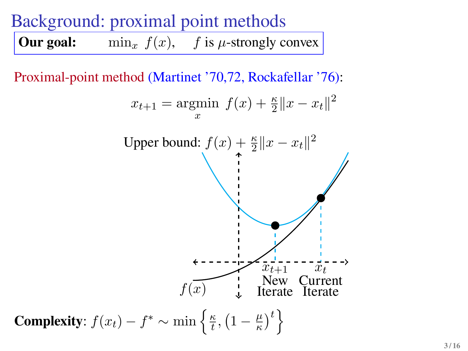**Our goal:** min<sub>x</sub>  $f(x)$ , f is  $\mu$ -strongly convex

Proximal-point method (Martinet '70,72, Rockafellar '76):

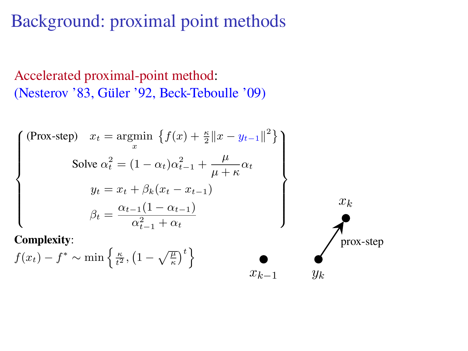Accelerated proximal-point method: (Nesterov '83, Güler '92, Beck-Teboulle '09)

$$
\begin{cases}\n(\text{Prox-step}) \quad x_t = \underset{x}{\text{argmin}} \left\{ f(x) + \frac{\kappa}{2} \|x - y_{t-1}\|^2 \right\} \\
\text{Solve } \alpha_t^2 = (1 - \alpha_t) \alpha_{t-1}^2 + \frac{\mu}{\mu + \kappa} \alpha_t \\
y_t = x_t + \beta_k (x_t - x_{t-1}) \\
\beta_t = \frac{\alpha_{t-1} (1 - \alpha_{t-1})}{\alpha_{t-1}^2 + \alpha_t} \n\end{cases}
$$

**Complexity**:

$$
f(x_t) - f^* \sim \min\left\{\frac{\kappa}{t^2}, \left(1 - \sqrt{\frac{\mu}{\kappa}}\right)^t\right\}
$$

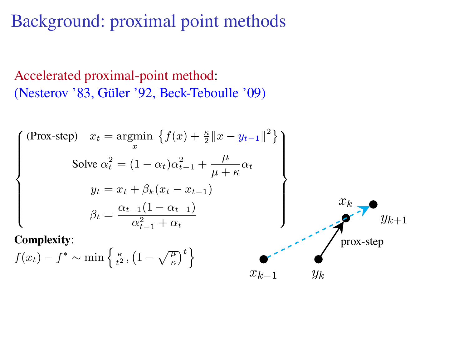Accelerated proximal-point method: (Nesterov '83, Güler '92, Beck-Teboulle '09)

$$
\begin{cases}\n(\text{Prox-step}) \quad x_t = \operatorname*{argmin}_{x} \left\{ f(x) + \frac{\kappa}{2} \|x - y_{t-1}\|^2 \right\} \\
\text{Solve } \alpha_t^2 = (1 - \alpha_t) \alpha_{t-1}^2 + \frac{\mu}{\mu + \kappa} \alpha_t \\
y_t = x_t + \beta_k (x_t - x_{t-1}) \\
\beta_t = \frac{\alpha_{t-1} (1 - \alpha_{t-1})}{\alpha_{t-1}^2 + \alpha_t} \\
\text{Complexity:} \\
f(x_t) - f^* \sim \min \left\{ \frac{\kappa}{t^2}, \left(1 - \sqrt{\frac{\mu}{\kappa}}\right)^t \right\} \\
x_{k-1} & y_k\n\end{cases}
$$

**Complexity**:

$$
f(x_t) - f^* \sim \min\left\{\frac{\kappa}{t^2}, \left(1 - \sqrt{\frac{\mu}{\kappa}}\right)^t\right\}
$$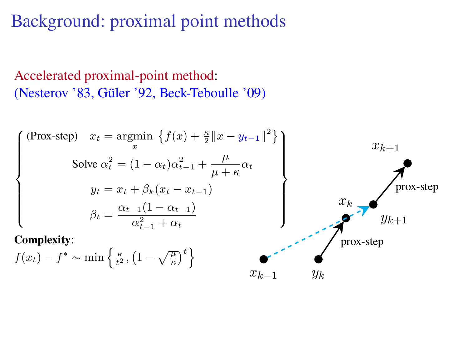Accelerated proximal-point method: (Nesterov '83, Güler '92, Beck-Teboulle '09)

$$
\begin{cases}\n(\text{Prox-step}) & x_t = \operatorname*{argmin}_x \left\{ f(x) + \frac{\kappa}{2} \|x - y_{t-1}\|^2 \right\} \\
\text{Solve } \alpha_t^2 = (1 - \alpha_t) \alpha_{t-1}^2 + \frac{\mu}{\mu + \kappa} \alpha_t \\
y_t = x_t + \beta_k (x_t - x_{t-1}) \\
\beta_t = \frac{\alpha_{t-1} (1 - \alpha_{t-1})}{\alpha_{t-1}^2 + \alpha_t} \\
\end{cases}\n\right\}\n\begin{cases}\nx_{k+1} \\
\text{prox-step} \\
y_{k+1}\n\end{cases}
$$
\n
$$
x_k
$$
\n
$$
y_{k+1}
$$
\n
$$
y_{k+1}
$$
\n
$$
y_{k+1}
$$
\n
$$
y_{k+1}
$$

 $x_{k-1}$   $y_k$ 

**Complexity**:

$$
f(x_t) - f^* \sim \min\left\{\frac{\kappa}{t^2}, \left(1 - \sqrt{\frac{\mu}{\kappa}}\right)^t\right\}
$$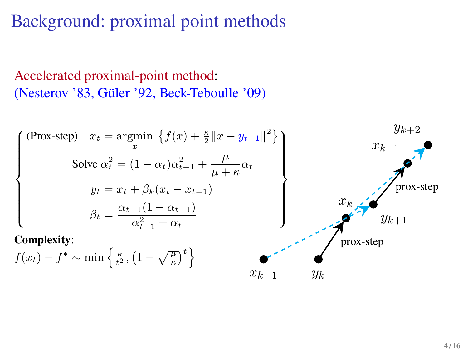### Accelerated proximal-point method: (Nesterov '83, Güler '92, Beck-Teboulle '09)

$$
\begin{cases}\n(\text{Prox-step}) \quad x_t = \underset{x}{\text{argmin}} \left\{ f(x) + \frac{\kappa}{2} \|x - y_{t-1}\|^2 \right\} & x_{k+1} \\
\text{Solve } \alpha_t^2 = (1 - \alpha_t) \alpha_{t-1}^2 + \frac{\mu}{\mu + \kappa} \alpha_t & x_{k+1} \\
y_t = x_t + \beta_k (x_t - x_{t-1}) & x_k \\
\beta_t = \frac{\alpha_{t-1} (1 - \alpha_{t-1})}{\alpha_{t-1}^2 + \alpha_t} & y_{k+1}\n\end{cases}
$$
\n
$$
\text{Complexity:}
$$
\n
$$
x_k
$$
\n
$$
y_{k+1}
$$
\n
$$
y_{k+1}
$$
\n
$$
y_{k+1}
$$

 $x_{k-1}$   $y_k$ 

$$
f(x_t) - f^* \sim \min\left\{\frac{\kappa}{t^2}, \left(1 - \sqrt{\frac{\mu}{\kappa}}\right)^t\right\}
$$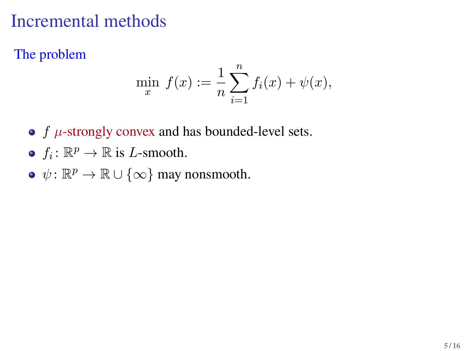## Incremental methods

The problem

$$
\min_{x} f(x) := \frac{1}{n} \sum_{i=1}^{n} f_i(x) + \psi(x),
$$

- $\bullet$  f  $\mu$ -strongly convex and has bounded-level sets.
- $f_i: \mathbb{R}^p \to \mathbb{R}$  is *L*-smooth.
- $\psi \colon \mathbb{R}^p \to \mathbb{R} \cup \{\infty\}$  may nonsmooth.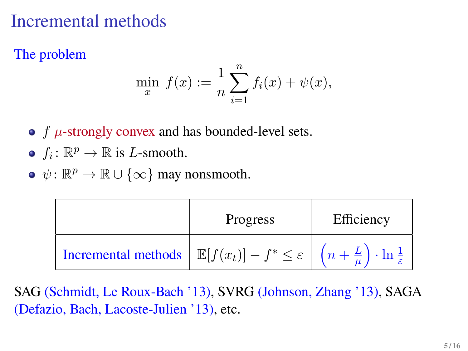# Incremental methods

The problem

$$
\min_{x} f(x) := \frac{1}{n} \sum_{i=1}^{n} f_i(x) + \psi(x),
$$

- $f$   $\mu$ -strongly convex and has bounded-level sets.
- $f_i: \mathbb{R}^p \to \mathbb{R}$  is *L*-smooth.
- $\psi \colon \mathbb{R}^p \to \mathbb{R} \cup \{\infty\}$  may nonsmooth.

|                                                                                                                                    | Progress | Efficiency |
|------------------------------------------------------------------------------------------------------------------------------------|----------|------------|
| Incremental methods $\left  \mathbb{E}[f(x_t)] - f^* \leq \varepsilon \right  (n + \frac{L}{\mu}) \cdot \ln \frac{1}{\varepsilon}$ |          |            |

SAG (Schmidt, Le Roux-Bach '13), SVRG (Johnson, Zhang '13), SAGA (Defazio, Bach, Lacoste-Julien '13), etc.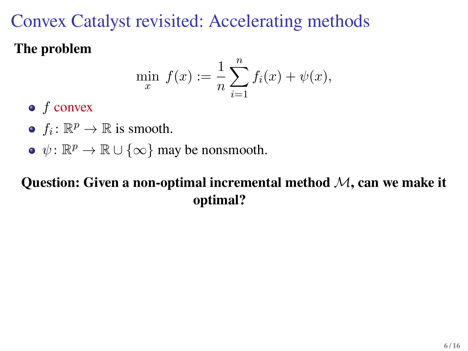# Convex Catalyst revisited: Accelerating methods

### **The problem**

$$
\min_{x} f(x) := \frac{1}{n} \sum_{i=1}^{n} f_i(x) + \psi(x),
$$

- $\bullet$  f convex
- $f_i: \mathbb{R}^p \to \mathbb{R}$  is smooth.
- $\psi \colon \mathbb{R}^p \to \mathbb{R} \cup \{\infty\}$  may be nonsmooth.

### **Question: Given a non-optimal incremental method** M**, can we make it optimal?**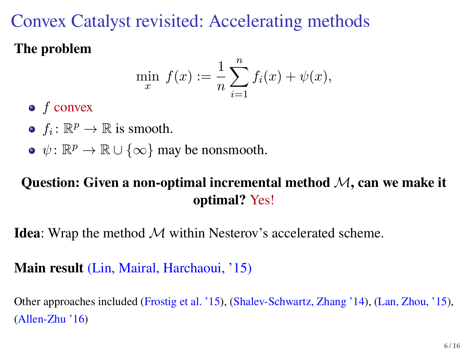# Convex Catalyst revisited: Accelerating methods

### **The problem**

$$
\min_{x} f(x) := \frac{1}{n} \sum_{i=1}^{n} f_i(x) + \psi(x),
$$

- $\bullet$  f convex
- $f_i: \mathbb{R}^p \to \mathbb{R}$  is smooth.
- $\psi \colon \mathbb{R}^p \to \mathbb{R} \cup \{\infty\}$  may be nonsmooth.

### **Question: Given a non-optimal incremental method** M**, can we make it optimal?** Yes!

**Idea**: Wrap the method M within Nesterov's accelerated scheme.

### **Main result** (Lin, Mairal, Harchaoui, '15)

Other approaches included (Frostig et al. '15), (Shalev-Schwartz, Zhang '14), (Lan, Zhou, '15), (Allen-Zhu '16)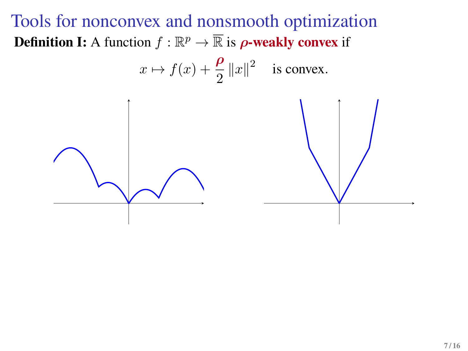Tools for nonconvex and nonsmooth optimization **Definition I:** A function  $f : \mathbb{R}^p \to \overline{\mathbb{R}}$  is  $\rho$ -weakly convex if

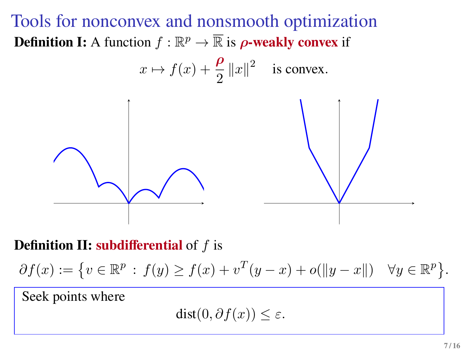Tools for nonconvex and nonsmooth optimization **Definition I:** A function  $f : \mathbb{R}^p \to \overline{\mathbb{R}}$  is  $\rho$ -weakly convex if



**Definition II: subdifferential** of f is

 $\partial f(x) := \{ v \in \mathbb{R}^p : f(y) \ge f(x) + v^T(y - x) + o(||y - x||) \quad \forall y \in \mathbb{R}^p \}.$ 

Seek points where

 $dist(0, \partial f(x)) \leq \varepsilon$ .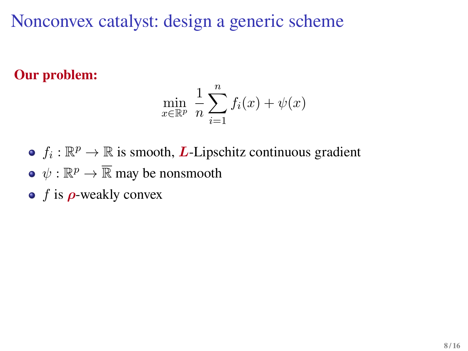Nonconvex catalyst: design a generic scheme

**Our problem:**

$$
\min_{x \in \mathbb{R}^p} \frac{1}{n} \sum_{i=1}^n f_i(x) + \psi(x)
$$

- $f_i: \mathbb{R}^p \to \mathbb{R}$  is smooth, **L**-Lipschitz continuous gradient
- $\psi : \mathbb{R}^p \to \overline{\mathbb{R}}$  may be nonsmooth
- $\bullet$  f is  $\rho$ -weakly convex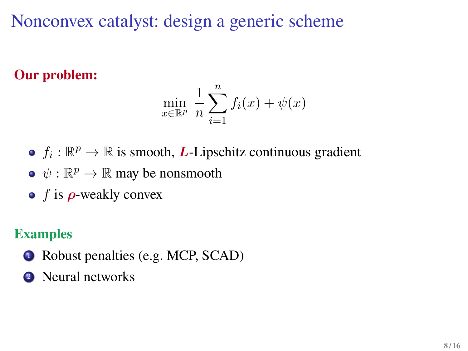Nonconvex catalyst: design a generic scheme

**Our problem:**

$$
\min_{x \in \mathbb{R}^p} \frac{1}{n} \sum_{i=1}^n f_i(x) + \psi(x)
$$

- $f_i: \mathbb{R}^p \to \mathbb{R}$  is smooth, **L**-Lipschitz continuous gradient
- $\psi : \mathbb{R}^p \to \overline{\mathbb{R}}$  may be nonsmooth
- $\bullet$  f is  $\rho$ -weakly convex

### **Examples**

- **1** Robust penalties (e.g. MCP, SCAD)
- <sup>2</sup> Neural networks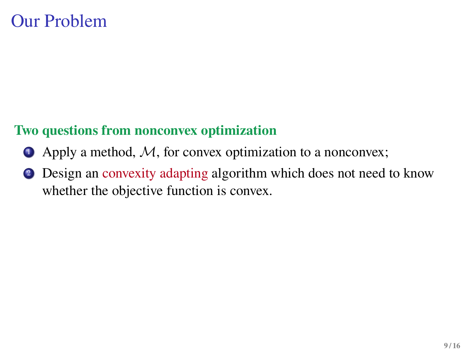## Our Problem

### **Two questions from nonconvex optimization**

- $\bullet$  Apply a method, M, for convex optimization to a nonconvex;
- <sup>2</sup> Design an convexity adapting algorithm which does not need to know whether the objective function is convex.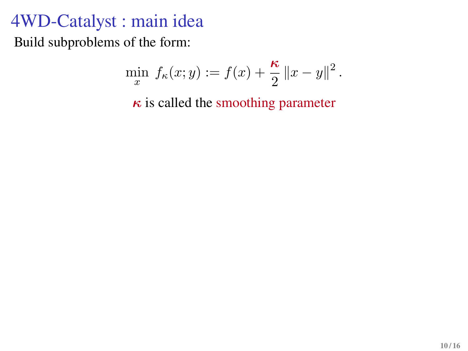# 4WD-Catalyst : main idea

Build subproblems of the form:

$$
\min_{x} f_{\kappa}(x; y) := f(x) + \frac{\kappa}{2} ||x - y||^{2}.
$$

 $\kappa$  is called the smoothing parameter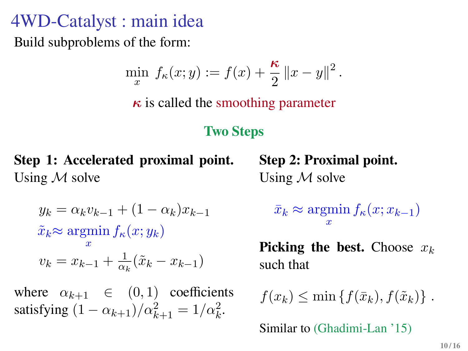# 4WD-Catalyst : main idea

Build subproblems of the form:

$$
\min_{x} f_{\kappa}(x; y) := f(x) + \frac{\kappa}{2} ||x - y||^{2}.
$$

 $\kappa$  is called the smoothing parameter

#### **Two Steps**

**Step 1: Accelerated proximal point.** Using  $M$  solve

**Step 2: Proximal point.** Using  $M$  solve

$$
y_k = \alpha_k v_{k-1} + (1 - \alpha_k) x_{k-1}
$$

$$
\tilde{x}_k \approx \operatorname*{argmin}_{x} f_{\kappa}(x; y_k)
$$

$$
v_k = x_{k-1} + \frac{1}{\alpha_k} (\tilde{x}_k - x_{k-1})
$$

where  $\alpha_{k+1} \in (0,1)$  coefficients satisfying  $(1 - \alpha_{k+1})/\alpha_{k+1}^2 = 1/\alpha_k^2$ .

 $\bar{x}_k \approx \operatorname{argmin} f_{\kappa}(x; x_{k-1})$ x

**Picking the best.** Choose  $x_k$ such that

 $f(x_k) \leq \min\left\{f(\bar{x}_k), f(\tilde{x}_k)\right\}.$ 

Similar to (Ghadimi-Lan '15)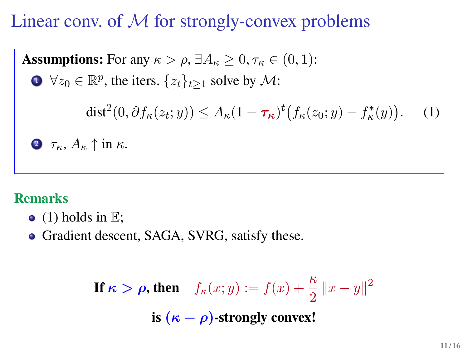Linear conv. of  $M$  for strongly-convex problems

**Assumptions:** For any  $\kappa > \rho$ ,  $\exists A_{\kappa} \geq 0, \tau_{\kappa} \in (0,1)$ :  $\mathbf{D} \ \forall z_0 \in \mathbb{R}^p$ , the iters.  $\{z_t\}_{t \geq 1}$  solve by  $\mathcal{M}$ : dist<sup>2</sup>(0,  $\partial f_{\kappa}(z_t; y)$ )  $\leq A_{\kappa}(1 - \tau_{\kappa})^t (f_{\kappa}(z_0; y) - f_{\kappa}^*(y))$ . (1)  $\bullet$   $\tau_{\kappa}, A_{\kappa} \uparrow$  in  $\kappa$ .

#### **Remarks**

- $\bullet$  [\(1\)](#page-20-0) holds in  $\mathbb{E}$ ;
- Gradient descent, SAGA, SVRG, satisfy these.

<span id="page-20-0"></span>**If**  $\kappa > \rho$ , then  $f_{\kappa}(x; y) := f(x) + \frac{\kappa}{2} ||x - y||^2$ **is**  $(\kappa - \rho)$ -strongly convex!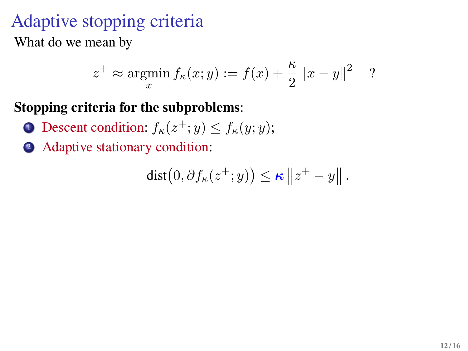# Adaptive stopping criteria

What do we mean by

$$
z^+ \approx \underset{x}{\text{argmin}} f_{\kappa}(x; y) := f(x) + \frac{\kappa}{2} ||x - y||^2
$$
 ?

#### **Stopping criteria for the subproblems**:

- **1** Descent condition:  $f_{\kappa}(z^+; y) \le f_{\kappa}(y; y)$ ;
- <sup>2</sup> Adaptive stationary condition:

$$
\mathrm{dist}\big(0,\partial f_{\kappa}(z^+;y)\big)\leq \kappa\left\|z^+-y\right\|.
$$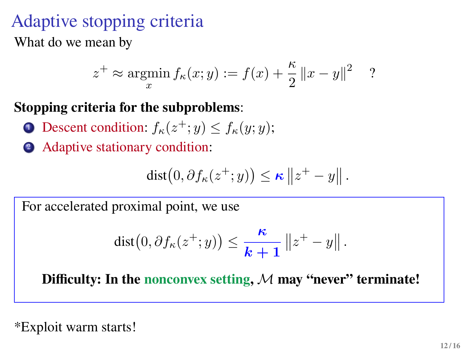# Adaptive stopping criteria

What do we mean by

$$
z^+ \approx \operatorname*{argmin}_{x} f_{\kappa}(x; y) := f(x) + \frac{\kappa}{2} ||x - y||^2
$$
 ?

### **Stopping criteria for the subproblems**:

- **1** Descent condition:  $f_{\kappa}(z^+; y) \le f_{\kappa}(y; y)$ ;
- <sup>2</sup> Adaptive stationary condition:

$$
\mathrm{dist}\big(0,\partial f_{\kappa}(z^+;y)\big)\leq \kappa\left\|z^+-y\right\|.
$$

For accelerated proximal point, we use

$$
dist(0, \partial f_{\kappa}(z^+; y)) \leq \frac{\kappa}{k+1} ||z^+ - y||.
$$

**Difficulty: In the nonconvex setting,** M **may "never" terminate!**

\*Exploit warm starts!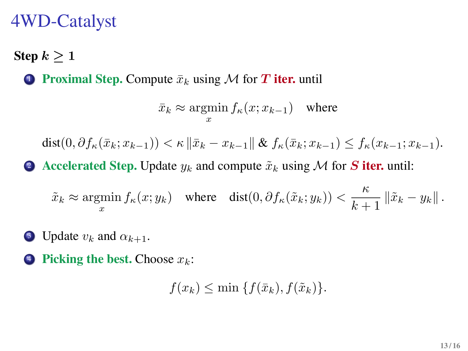## 4WD-Catalyst

**Step**  $k > 1$ 

**1 Proximal Step.** Compute  $\bar{x}_k$  using M for T **iter.** until

$$
\bar{x}_k \approx \operatorname*{argmin}_{x} f_{\kappa}(x; x_{k-1})
$$
 where

 $dist(0, \partial f_{\kappa}(\bar{x}_k; x_{k-1})) < \kappa \|\bar{x}_k - x_{k-1}\| \& \int_{\kappa} (\bar{x}_k; x_{k-1}) \leq f_{\kappa}(x_{k-1}; x_{k-1}).$ 

2 Accelerated Step. Update  $y_k$  and compute  $\tilde{x}_k$  using M for S **iter.** until:

 $\tilde{x}_k \approx \operatorname*{argmin}_x f_\kappa(x; y_k)$  where  $\operatorname*{dist}(0, \partial f_\kappa(\tilde{x}_k; y_k)) < \frac{\kappa}{k+1}$  $\frac{k}{k+1}$   $\|\tilde{x}_k - y_k\|$ .

- **3** Update  $v_k$  and  $\alpha_{k+1}$ .
- **Picking the best.** Choose  $x_k$ :

 $f(x_k) \leq \min \{f(\bar{x}_k), f(\tilde{x}_k)\}.$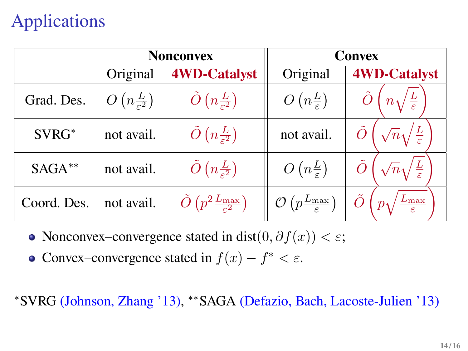# Applications

|             | <b>Nonconvex</b>    |                                                                  | Convex                                                  |                                        |
|-------------|---------------------|------------------------------------------------------------------|---------------------------------------------------------|----------------------------------------|
|             | Original            | <b>4WD-Catalyst</b>                                              | Original                                                | <b>4WD-Catalyst</b>                    |
| Grad. Des.  | $O(n\frac{L}{c^2})$ | $\tilde{O}\left(n\frac{L}{\varepsilon^2}\right)$                 | $O(n\frac{L}{\epsilon})$                                | $n\sqrt{\frac{L}{\varepsilon}}$        |
| SVRG*       | not avail.          | $\tilde{O}\left(n\frac{L}{\epsilon^2}\right)$                    | not avail.                                              | $\sqrt{n}\sqrt{\frac{L}{\varepsilon}}$ |
| $SAGA***$   | not avail.          | $\tilde{O}\left(n\frac{L}{c^2}\right)$                           | $O(n\frac{L}{\varepsilon})$                             | $\sqrt{n}\sqrt{\frac{L}{\varepsilon}}$ |
| Coord. Des. | not avail.          | $\tilde{O}\left(p^2 \frac{L_{\text{max}}}{\varepsilon^2}\right)$ | $\mathcal{O}\left(p\frac{L_{\max}}{\varepsilon}\right)$ | $\frac{L_{\max}}{\varepsilon}$         |

- Nonconvex–convergence stated in dist $(0, \partial f(x)) < \varepsilon$ ;
- Convex–convergence stated in  $f(x) f^* < \varepsilon$ .

<sup>∗</sup>SVRG (Johnson, Zhang '13), ∗∗SAGA (Defazio, Bach, Lacoste-Julien '13)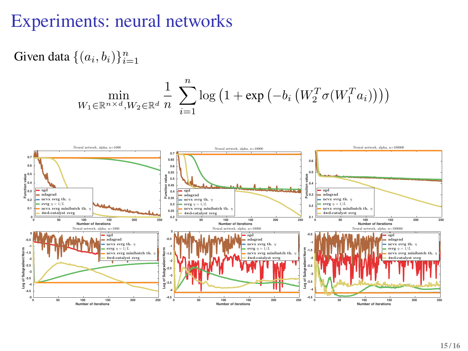## Experiments: neural networks

Given data  $\{(a_i, b_i)\}_{i=1}^n$ 

$$
\min_{W_1 \in \mathbb{R}^{n \times d}, W_2 \in \mathbb{R}^d} \frac{1}{n} \sum_{i=1}^n \log \left(1 + \exp \left(-b_i \left(W_2^T \sigma(W_1^T a_i)\right)\right)\right)
$$